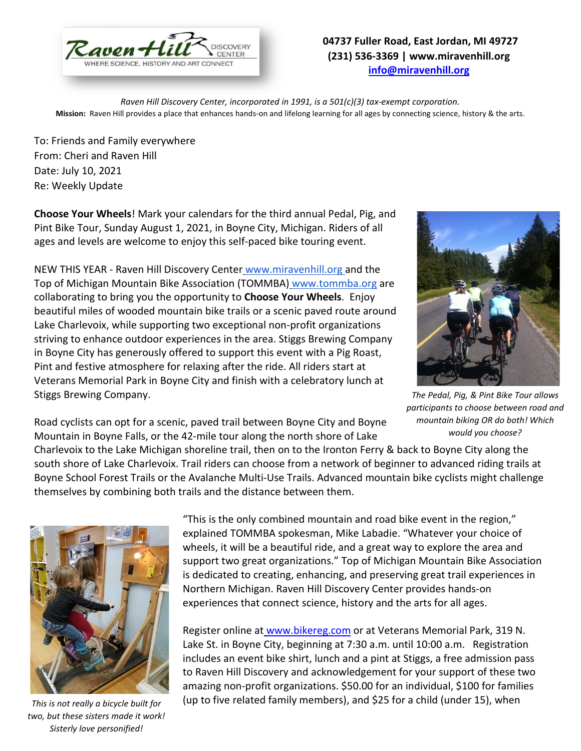

## **04737 Fuller Road, East Jordan, MI 49727 (231) 536-3369 | www.miravenhill.org [info@miravenhill.org](mailto:info@miravenhill.org)**

*Raven Hill Discovery Center, incorporated in 1991, is a 501(c)(3) tax-exempt corporation.* **Mission:** Raven Hill provides a place that enhances hands-on and lifelong learning for all ages by connecting science, history & the arts.

To: Friends and Family everywhere From: Cheri and Raven Hill Date: July 10, 2021 Re: Weekly Update

**Choose Your Wheels**! Mark your calendars for the third annual Pedal, Pig, and Pint Bike Tour, Sunday August 1, 2021, in Boyne City, Michigan. Riders of all ages and levels are welcome to enjoy this self-paced bike touring event.

NEW THIS YEAR - Raven Hill Discovery Center [www.miravenhill.org](http://www.miravenhill.org/) and the Top of Michigan Mountain Bike Association (TOMMBA) [www.tommba.org](http://www.tommba.org/) are collaborating to bring you the opportunity to **Choose Your Wheels**. Enjoy beautiful miles of wooded mountain bike trails or a scenic paved route around Lake Charlevoix, while supporting two exceptional non-profit organizations striving to enhance outdoor experiences in the area. Stiggs Brewing Company in Boyne City has generously offered to support this event with a Pig Roast, Pint and festive atmosphere for relaxing after the ride. All riders start at Veterans Memorial Park in Boyne City and finish with a celebratory lunch at Stiggs Brewing Company.



*The Pedal, Pig, & Pint Bike Tour allows participants to choose between road and mountain biking OR do both! Which would you choose?*

Road cyclists can opt for a scenic, paved trail between Boyne City and Boyne Mountain in Boyne Falls, or the 42-mile tour along the north shore of Lake

Charlevoix to the Lake Michigan shoreline trail, then on to the Ironton Ferry & back to Boyne City along the south shore of Lake Charlevoix. Trail riders can choose from a network of beginner to advanced riding trails at Boyne School Forest Trails or the Avalanche Multi-Use Trails. Advanced mountain bike cyclists might challenge themselves by combining both trails and the distance between them.



*This is not really a bicycle built for two, but these sisters made it work! Sisterly love personified!*

"This is the only combined mountain and road bike event in the region," explained TOMMBA spokesman, Mike Labadie. "Whatever your choice of wheels, it will be a beautiful ride, and a great way to explore the area and support two great organizations." Top of Michigan Mountain Bike Association is dedicated to creating, enhancing, and preserving great trail experiences in Northern Michigan. Raven Hill Discovery Center provides hands-on experiences that connect science, history and the arts for all ages.

Register online at [www.bikereg.com](http://www.bikereg.com/) or at Veterans Memorial Park, 319 N. Lake St. in Boyne City, beginning at 7:30 a.m. until 10:00 a.m. Registration includes an event bike shirt, lunch and a pint at Stiggs, a free admission pass to Raven Hill Discovery and acknowledgement for your support of these two amazing non-profit organizations. \$50.00 for an individual, \$100 for families (up to five related family members), and \$25 for a child (under 15), when